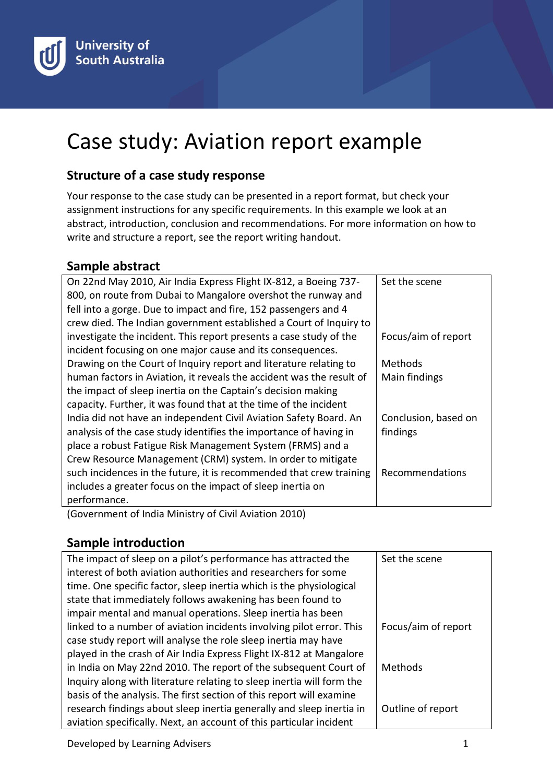

# Case study: Aviation report example

## **Structure of a case study response**

Your response to the case study can be presented in a report format, but check your assignment instructions for any specific requirements. In this example we look at an abstract, introduction, conclusion and recommendations. For more information on how to write and structure a report, see the report writing handout.

#### **Sample abstract**

| On 22nd May 2010, Air India Express Flight IX-812, a Boeing 737-     | Set the scene        |
|----------------------------------------------------------------------|----------------------|
| 800, on route from Dubai to Mangalore overshot the runway and        |                      |
| fell into a gorge. Due to impact and fire, 152 passengers and 4      |                      |
| crew died. The Indian government established a Court of Inquiry to   |                      |
| investigate the incident. This report presents a case study of the   | Focus/aim of report  |
| incident focusing on one major cause and its consequences.           |                      |
| Drawing on the Court of Inquiry report and literature relating to    | Methods              |
| human factors in Aviation, it reveals the accident was the result of | Main findings        |
| the impact of sleep inertia on the Captain's decision making         |                      |
| capacity. Further, it was found that at the time of the incident     |                      |
| India did not have an independent Civil Aviation Safety Board. An    | Conclusion, based on |
| analysis of the case study identifies the importance of having in    | findings             |
| place a robust Fatigue Risk Management System (FRMS) and a           |                      |
| Crew Resource Management (CRM) system. In order to mitigate          |                      |
| such incidences in the future, it is recommended that crew training  | Recommendations      |
| includes a greater focus on the impact of sleep inertia on           |                      |
| performance.                                                         |                      |

(Government of India Ministry of Civil Aviation 2010)

#### **Sample introduction**

| The impact of sleep on a pilot's performance has attracted the        | Set the scene       |
|-----------------------------------------------------------------------|---------------------|
| interest of both aviation authorities and researchers for some        |                     |
| time. One specific factor, sleep inertia which is the physiological   |                     |
| state that immediately follows awakening has been found to            |                     |
| impair mental and manual operations. Sleep inertia has been           |                     |
| linked to a number of aviation incidents involving pilot error. This  | Focus/aim of report |
| case study report will analyse the role sleep inertia may have        |                     |
| played in the crash of Air India Express Flight IX-812 at Mangalore   |                     |
| in India on May 22nd 2010. The report of the subsequent Court of      | <b>Methods</b>      |
| Inquiry along with literature relating to sleep inertia will form the |                     |
| basis of the analysis. The first section of this report will examine  |                     |
| research findings about sleep inertia generally and sleep inertia in  | Outline of report   |
| aviation specifically. Next, an account of this particular incident   |                     |